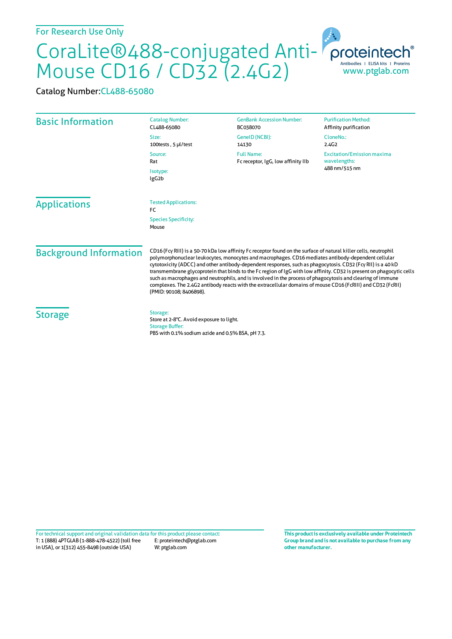## CoraLite®488-conjugated Anti-Mouse CD16 / CD32 (2.4G2) Antibodies | ELISA kits | Proteins<br>WWW.ptglab.com

Catalog Number:CL488-65080

| <b>Basic Information</b>      | <b>Catalog Number:</b><br>CL488-65080                                                                                                                                                                                                                                                                                                                                                                                                                                                                                                                                                                                                                                                                                 | <b>GenBank Accession Number:</b><br>BC038070 | <b>Purification Method:</b><br>Affinity purification               |
|-------------------------------|-----------------------------------------------------------------------------------------------------------------------------------------------------------------------------------------------------------------------------------------------------------------------------------------------------------------------------------------------------------------------------------------------------------------------------------------------------------------------------------------------------------------------------------------------------------------------------------------------------------------------------------------------------------------------------------------------------------------------|----------------------------------------------|--------------------------------------------------------------------|
|                               | Size:<br>100 tests, 5 µl/test                                                                                                                                                                                                                                                                                                                                                                                                                                                                                                                                                                                                                                                                                         | GeneID (NCBI):<br>14130                      | CloneNo.:<br>2.4 <sub>G2</sub>                                     |
|                               | <b>Full Name:</b><br>Source:<br>Rat<br>Fc receptor, IgG, low affinity IIb<br>Isotype:<br>IgG <sub>2</sub> b                                                                                                                                                                                                                                                                                                                                                                                                                                                                                                                                                                                                           |                                              | <b>Excitation/Emission maxima</b><br>wavelengths:<br>488 nm/515 nm |
|                               |                                                                                                                                                                                                                                                                                                                                                                                                                                                                                                                                                                                                                                                                                                                       |                                              |                                                                    |
| <b>Applications</b>           | <b>Tested Applications:</b><br>FC.                                                                                                                                                                                                                                                                                                                                                                                                                                                                                                                                                                                                                                                                                    |                                              |                                                                    |
|                               | <b>Species Specificity:</b><br>Mouse                                                                                                                                                                                                                                                                                                                                                                                                                                                                                                                                                                                                                                                                                  |                                              |                                                                    |
| <b>Background Information</b> | CD16 (Fcy RIII) is a 50-70 kDa low affinity Fc receptor found on the surface of natural killer cells, neutrophil<br>polymorphonuclear leukocytes, monocytes and macrophages. CD16 mediates antibody-dependent cellular<br>cytotoxicity (ADCC) and other antibody-dependent responses, such as phagocytosis. CD32 (Fcy RII) is a 40 kD<br>transmembrane glycoprotein that binds to the Fc region of IgG with low affinity. CD32 is present on phagocytic cells<br>such as macrophages and neutrophils, and is involved in the process of phagocytosis and clearing of immune<br>complexes. The 2.4G2 antibody reacts with the extracellular domains of mouse CD16 (FcRIII) and CD32 (FcRII)<br>(PMID: 90108; 8406898). |                                              |                                                                    |
| <b>Storage</b>                | Storage:<br>Store at 2-8°C. Avoid exposure to light.<br><b>Storage Buffer:</b><br>PBS with 0.1% sodium azide and 0.5% BSA, pH 7.3.                                                                                                                                                                                                                                                                                                                                                                                                                                                                                                                                                                                    |                                              |                                                                    |

T: 1 (888) 4PTGLAB (1-888-478-4522) (toll free in USA), or 1(312) 455-8498 (outside USA) E: proteintech@ptglab.com W: ptglab.com Fortechnical support and original validation data forthis product please contact: **This productis exclusively available under Proteintech**

**Group brand and is not available to purchase from any other manufacturer.**